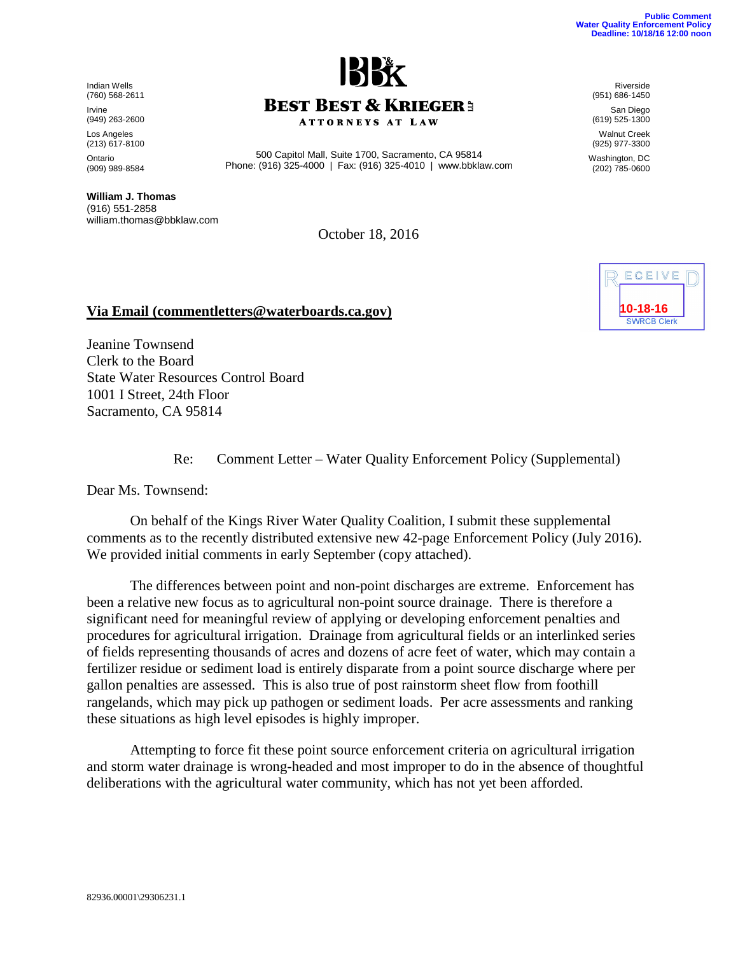Indian Wells (760) 568-2611 Irvine (949) 263-2600 Los Angeles (213) 617-8100 Ontario (909) 989-8584

**William J. Thomas** (916) 551-2858 william.thomas@bbklaw.com

October 18, 2016

## **Via Email (commentletters@waterboards.ca.gov)**

Jeanine Townsend Clerk to the Board State Water Resources Control Board 1001 I Street, 24th Floor Sacramento, CA 95814

Re: Comment Letter – Water Quality Enforcement Policy (Supplemental)

Dear Ms. Townsend:

On behalf of the Kings River Water Quality Coalition, I submit these supplemental comments as to the recently distributed extensive new 42-page Enforcement Policy (July 2016). We provided initial comments in early September (copy attached).

The differences between point and non-point discharges are extreme. Enforcement has been a relative new focus as to agricultural non-point source drainage. There is therefore a significant need for meaningful review of applying or developing enforcement penalties and procedures for agricultural irrigation. Drainage from agricultural fields or an interlinked series of fields representing thousands of acres and dozens of acre feet of water, which may contain a fertilizer residue or sediment load is entirely disparate from a point source discharge where per gallon penalties are assessed. This is also true of post rainstorm sheet flow from foothill rangelands, which may pick up pathogen or sediment loads. Per acre assessments and ranking these situations as high level episodes is highly improper.

Attempting to force fit these point source enforcement criteria on agricultural irrigation and storm water drainage is wrong-headed and most improper to do in the absence of thoughtful deliberations with the agricultural water community, which has not yet been afforded.

Riverside (951) 686-1450

San Diego (619) 525-1300 Walnut Creek

(925) 977-3300 Washington, DC (202) 785-0600

| ECEI                           |  |
|--------------------------------|--|
| 10-18-16<br><b>SWRCB Clerk</b> |  |



500 Capitol Mall, Suite 1700, Sacramento, CA 95814 Phone: (916) 325-4000 | Fax: (916) 325-4010 | www.bbklaw.com